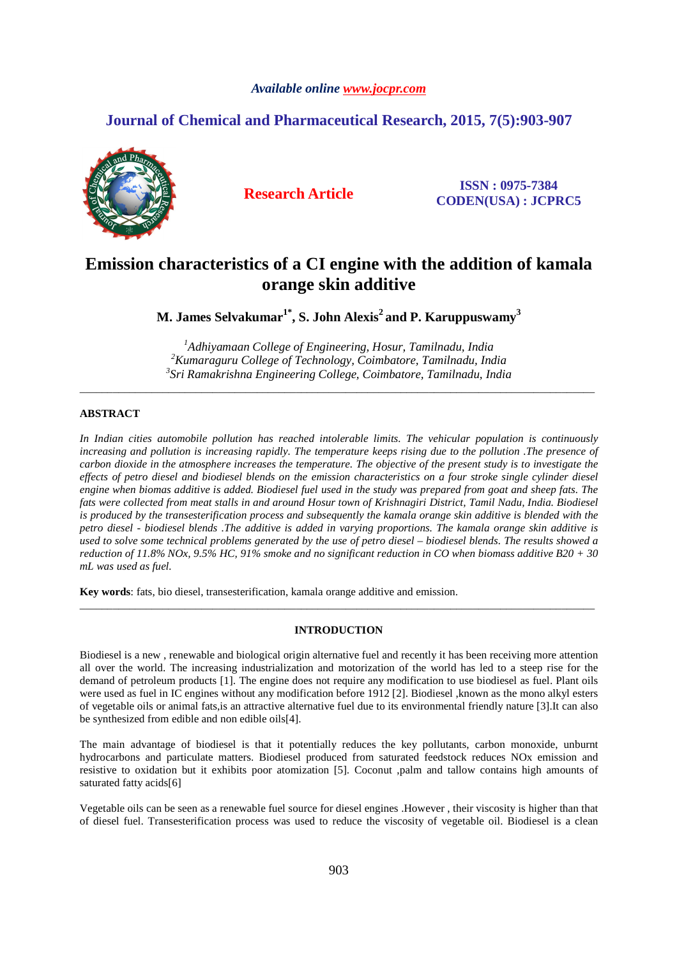# *Available online www.jocpr.com*

# **Journal of Chemical and Pharmaceutical Research, 2015, 7(5):903-907**



**Research Article ISSN : 0975-7384 CODEN(USA) : JCPRC5**

# **Emission characteristics of a CI engine with the addition of kamala orange skin additive**

**M. James Selvakumar1\*, S. John Alexis<sup>2</sup>and P. Karuppuswamy<sup>3</sup>**

*<sup>1</sup>Adhiyamaan College of Engineering, Hosur, Tamilnadu, India <sup>2</sup>Kumaraguru College of Technology, Coimbatore, Tamilnadu, India 3 Sri Ramakrishna Engineering College, Coimbatore, Tamilnadu, India* 

\_\_\_\_\_\_\_\_\_\_\_\_\_\_\_\_\_\_\_\_\_\_\_\_\_\_\_\_\_\_\_\_\_\_\_\_\_\_\_\_\_\_\_\_\_\_\_\_\_\_\_\_\_\_\_\_\_\_\_\_\_\_\_\_\_\_\_\_\_\_\_\_\_\_\_\_\_\_\_\_\_\_\_\_\_\_\_\_\_\_\_\_\_

# **ABSTRACT**

*In Indian cities automobile pollution has reached intolerable limits. The vehicular population is continuously increasing and pollution is increasing rapidly. The temperature keeps rising due to the pollution .The presence of carbon dioxide in the atmosphere increases the temperature. The objective of the present study is to investigate the effects of petro diesel and biodiesel blends on the emission characteristics on a four stroke single cylinder diesel engine when biomas additive is added. Biodiesel fuel used in the study was prepared from goat and sheep fats. The*  fats were collected from meat stalls in and around Hosur town of Krishnagiri District, Tamil Nadu, India. Biodiesel *is produced by the transesterification process and subsequently the kamala orange skin additive is blended with the petro diesel - biodiesel blends .The additive is added in varying proportions. The kamala orange skin additive is used to solve some technical problems generated by the use of petro diesel – biodiesel blends. The results showed a reduction of 11.8% NOx, 9.5% HC, 91% smoke and no significant reduction in CO when biomass additive B20 + 30 mL was used as fuel.* 

**Key words**: fats, bio diesel, transesterification, kamala orange additive and emission.

#### **INTRODUCTION**

\_\_\_\_\_\_\_\_\_\_\_\_\_\_\_\_\_\_\_\_\_\_\_\_\_\_\_\_\_\_\_\_\_\_\_\_\_\_\_\_\_\_\_\_\_\_\_\_\_\_\_\_\_\_\_\_\_\_\_\_\_\_\_\_\_\_\_\_\_\_\_\_\_\_\_\_\_\_\_\_\_\_\_\_\_\_\_\_\_\_\_\_\_

Biodiesel is a new , renewable and biological origin alternative fuel and recently it has been receiving more attention all over the world. The increasing industrialization and motorization of the world has led to a steep rise for the demand of petroleum products [1]. The engine does not require any modification to use biodiesel as fuel. Plant oils were used as fuel in IC engines without any modification before 1912 [2]. Biodiesel ,known as the mono alkyl esters of vegetable oils or animal fats,is an attractive alternative fuel due to its environmental friendly nature [3].It can also be synthesized from edible and non edible oils[4].

The main advantage of biodiesel is that it potentially reduces the key pollutants, carbon monoxide, unburnt hydrocarbons and particulate matters. Biodiesel produced from saturated feedstock reduces NOx emission and resistive to oxidation but it exhibits poor atomization [5]. Coconut ,palm and tallow contains high amounts of saturated fatty acids[6]

Vegetable oils can be seen as a renewable fuel source for diesel engines .However , their viscosity is higher than that of diesel fuel. Transesterification process was used to reduce the viscosity of vegetable oil. Biodiesel is a clean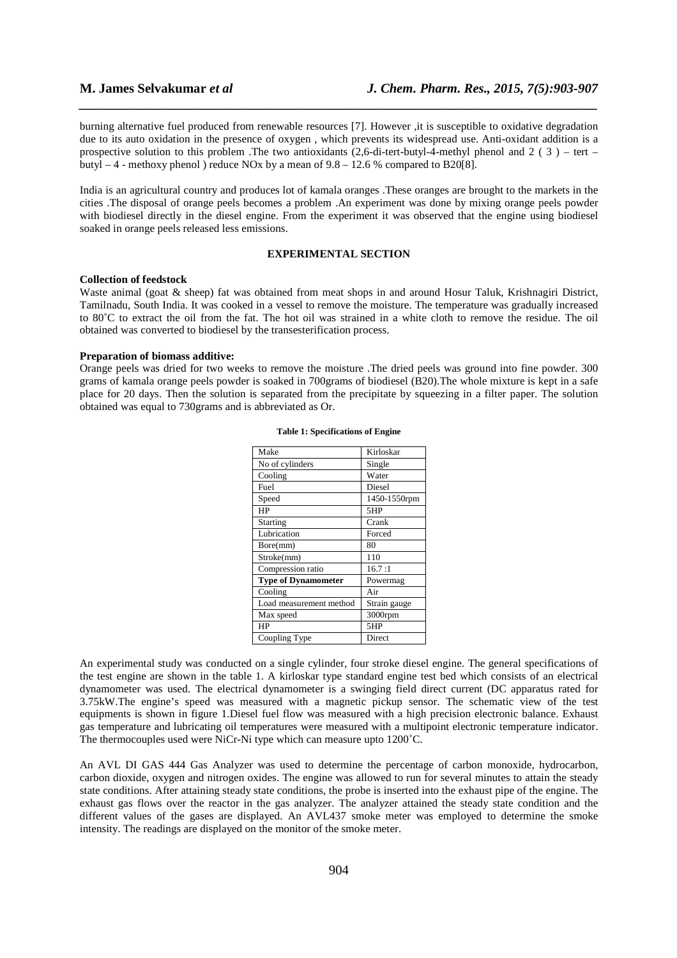burning alternative fuel produced from renewable resources [7]. However ,it is susceptible to oxidative degradation due to its auto oxidation in the presence of oxygen , which prevents its widespread use. Anti-oxidant addition is a prospective solution to this problem .The two antioxidants  $(2,6$ -di-tert-butyl-4-methyl phenol and  $2(3)$  – tert – butyl  $-4$  - methoxy phenol ) reduce NOx by a mean of  $9.8 - 12.6$  % compared to B20[8].

*\_\_\_\_\_\_\_\_\_\_\_\_\_\_\_\_\_\_\_\_\_\_\_\_\_\_\_\_\_\_\_\_\_\_\_\_\_\_\_\_\_\_\_\_\_\_\_\_\_\_\_\_\_\_\_\_\_\_\_\_\_\_\_\_\_\_\_\_\_\_\_\_\_\_\_\_\_\_*

India is an agricultural country and produces lot of kamala oranges .These oranges are brought to the markets in the cities .The disposal of orange peels becomes a problem .An experiment was done by mixing orange peels powder with biodiesel directly in the diesel engine. From the experiment it was observed that the engine using biodiesel soaked in orange peels released less emissions.

#### **EXPERIMENTAL SECTION**

#### **Collection of feedstock**

Waste animal (goat & sheep) fat was obtained from meat shops in and around Hosur Taluk, Krishnagiri District, Tamilnadu, South India. It was cooked in a vessel to remove the moisture. The temperature was gradually increased to 80˚C to extract the oil from the fat. The hot oil was strained in a white cloth to remove the residue. The oil obtained was converted to biodiesel by the transesterification process.

#### **Preparation of biomass additive:**

Orange peels was dried for two weeks to remove the moisture .The dried peels was ground into fine powder. 300 grams of kamala orange peels powder is soaked in 700grams of biodiesel (B20).The whole mixture is kept in a safe place for 20 days. Then the solution is separated from the precipitate by squeezing in a filter paper. The solution obtained was equal to 730grams and is abbreviated as Or.

| Make                       | Kirloskar    |
|----------------------------|--------------|
| No of cylinders            | Single       |
| Cooling                    | Water        |
| Fuel                       | Diesel       |
| Speed                      | 1450-1550rpm |
| HP                         | 5HP          |
| Starting                   | Crank        |
| Lubrication                | Forced       |
| Bore(mm)                   | 80           |
| Stroke(mm)                 | 110          |
| Compression ratio          | 16.7:1       |
| <b>Type of Dynamometer</b> | Powermag     |
| Cooling                    | Air          |
| Load measurement method    | Strain gauge |
| Max speed                  | $3000$ rpm   |
| HP                         | 5HP          |
| Coupling Type              | Direct       |
|                            |              |

#### **Table 1: Specifications of Engine**

An experimental study was conducted on a single cylinder, four stroke diesel engine. The general specifications of the test engine are shown in the table 1. A kirloskar type standard engine test bed which consists of an electrical dynamometer was used. The electrical dynamometer is a swinging field direct current (DC apparatus rated for 3.75kW.The engine's speed was measured with a magnetic pickup sensor. The schematic view of the test equipments is shown in figure 1.Diesel fuel flow was measured with a high precision electronic balance. Exhaust gas temperature and lubricating oil temperatures were measured with a multipoint electronic temperature indicator. The thermocouples used were NiCr-Ni type which can measure upto 1200˚C.

An AVL DI GAS 444 Gas Analyzer was used to determine the percentage of carbon monoxide, hydrocarbon, carbon dioxide, oxygen and nitrogen oxides. The engine was allowed to run for several minutes to attain the steady state conditions. After attaining steady state conditions, the probe is inserted into the exhaust pipe of the engine. The exhaust gas flows over the reactor in the gas analyzer. The analyzer attained the steady state condition and the different values of the gases are displayed. An AVL437 smoke meter was employed to determine the smoke intensity. The readings are displayed on the monitor of the smoke meter.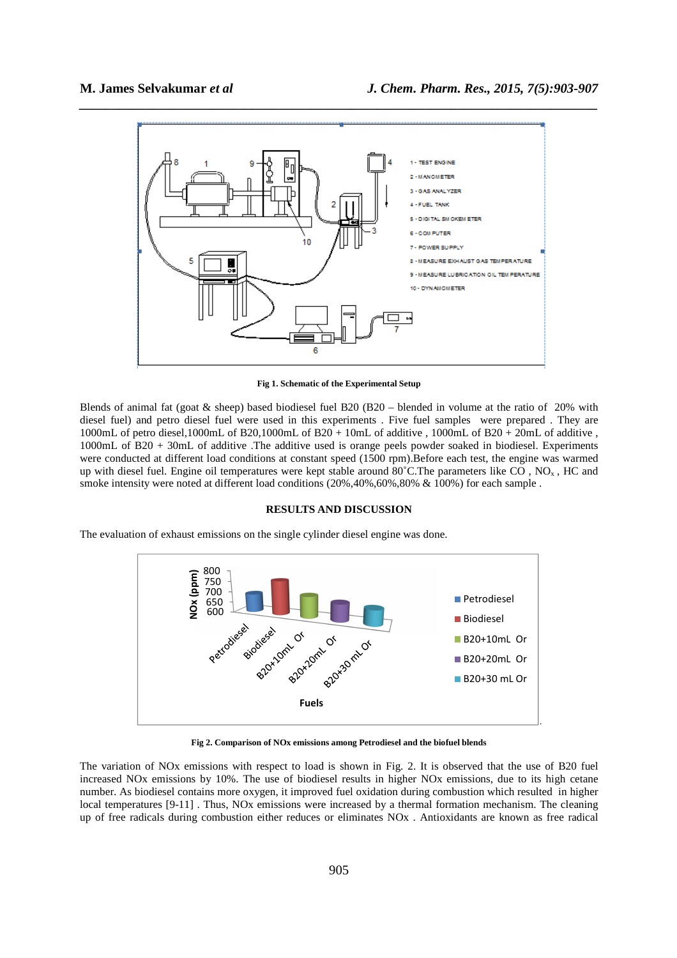

**Fig 1. Schematic of the Experimental Setup** 

Blends of animal fat (goat & sheep) based biodiesel fuel B20 (B20 – blended in volume at the ratio of 20% with diesel fuel) and petro diesel fuel were used in this experiments . Five fuel samples were prepared . They are 1000mL of petro diesel,1000mL of B20,1000mL of B20 + 10mL of additive , 1000mL of B20 + 20mL of additive, 1000mL of B20 + 30mL of additive .The additive used is orange peels powder soaked in biodiesel. Experiments were conducted at different load conditions at constant speed (1500 rpm). Before each test, the engine was warmed up with diesel fuel. Engine oil temperatures were kept stable around  $80^{\circ}$ C.The parameters like CO, NO<sub>x</sub>, HC and smoke intensity were noted at different load conditions (20%,40%,60%,80% & 100%) for each sample .

# **RESULTS AND DISCUSSION**

The evaluation of exhaust emissions on the single cylinder diesel engine was done.



**Fig 2. Comparison of NOx emissions among Petrodiesel and the biofuel blends** 

The variation of NOx emissions with respect to load is shown in Fig. 2. It is observed that the use of B20 fuel increased NOx emissions by 10%. The use of biodiesel results in higher NOx emissions, due to its high cetane number. As biodiesel contains more oxygen, it improved fuel oxidation during combustion which resulted in higher local temperatures [9-11] . Thus, NOx emissions were increased by a thermal formation mechanism. The cleaning up of free radicals during combustion either reduces or eliminates NOx . Antioxidants are known as free radical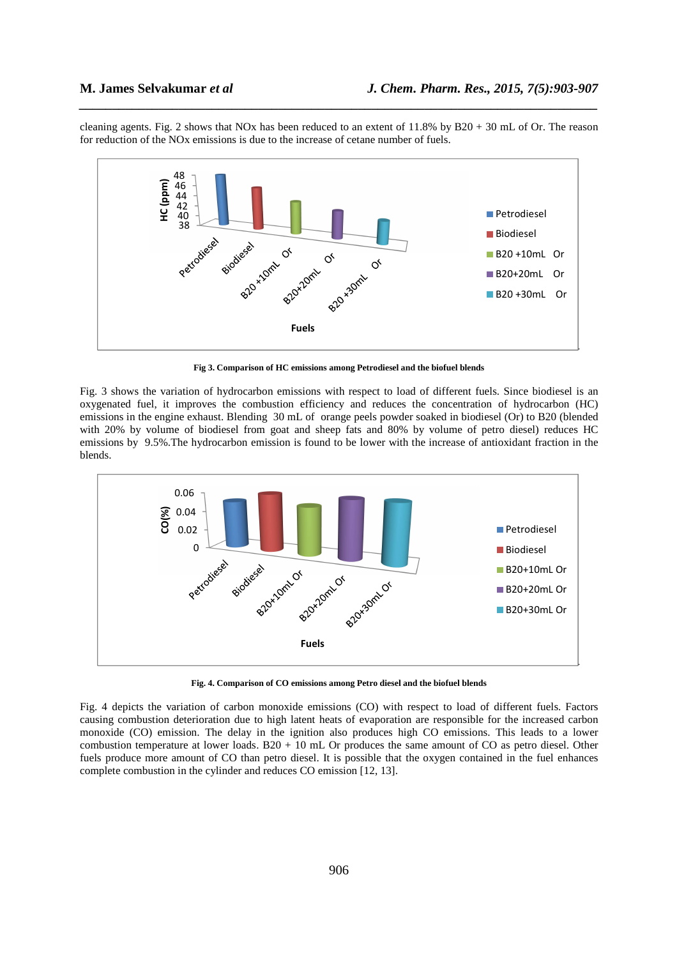cleaning agents. Fig. 2 shows that NOx has been reduced to an extent of 11.8% by B20 + 30 mL of Or. The reason for reduction of the NOx emissions is due to the increase of cetane number of fuels.

*\_\_\_\_\_\_\_\_\_\_\_\_\_\_\_\_\_\_\_\_\_\_\_\_\_\_\_\_\_\_\_\_\_\_\_\_\_\_\_\_\_\_\_\_\_\_\_\_\_\_\_\_\_\_\_\_\_\_\_\_\_\_\_\_\_\_\_\_\_\_\_\_\_\_\_\_\_\_*



**Fig 3. Comparison of HC emissions among Petrodiesel and the biofuel blends**

Fig. 3 shows the variation of hydrocarbon emissions with respect to load of different fuels. Since biodiesel is an oxygenated fuel, it improves the combustion efficiency and reduces the concentration of hydrocarbon (HC) emissions in the engine exhaust. Blending 30 mL of orange peels powder soaked in biodiesel (Or) to B20 (blended with 20% by volume of biodiesel from goat and sheep fats and 80% by volume of petro diesel) reduces HC emissions by 9.5%.The hydrocarbon emission is found to be lower with the increase of antioxidant fraction in the blends.



**Fig. 4. Comparison of CO emissions among Petro diesel and the biofuel blends** 

Fig. 4 depicts the variation of carbon monoxide emissions (CO) with respect to load of different fuels. Factors causing combustion deterioration due to high latent heats of evaporation are responsible for the increased carbon monoxide (CO) emission. The delay in the ignition also produces high CO emissions. This leads to a lower combustion temperature at lower loads. B20 + 10 mL Or produces the same amount of CO as petro diesel. Other fuels produce more amount of CO than petro diesel. It is possible that the oxygen contained in the fuel enhances complete combustion in the cylinder and reduces CO emission [12, 13].